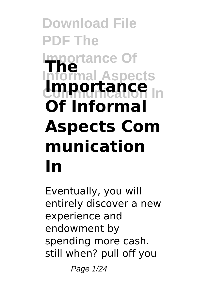# **Download File PDF The Dortance Of Informal Aspects The Limportance** In **Of Informal Aspects Com munication In**

Eventually, you will entirely discover a new experience and endowment by spending more cash. still when? pull off you

Page 1/24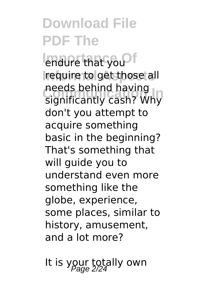**Impure that you of** require to get those all **Communication In** significantly cash? Why needs behind having don't you attempt to acquire something basic in the beginning? That's something that will guide you to understand even more something like the globe, experience, some places, similar to history, amusement, and a lot more?

It is your totally own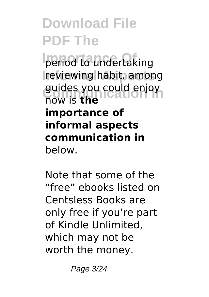period to undertaking **Informal Aspects** reviewing habit. among guides you could enjoy<br>Row is **the** now is **the importance of informal aspects communication in** below.

Note that some of the "free" ebooks listed on Centsless Books are only free if you're part of Kindle Unlimited, which may not be worth the money.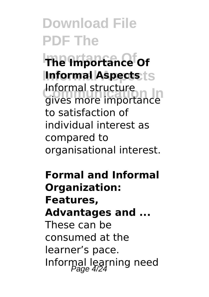**Importance Of The Importance Of Informal Aspects Informal Aspects Communication Information**<br>gives more importance Informal structure to satisfaction of individual interest as compared to organisational interest.

**Formal and Informal Organization: Features, Advantages and ...** These can be consumed at the learner's pace. Informal learning need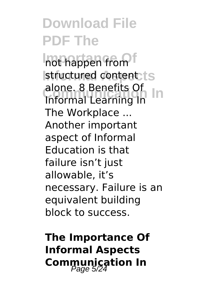**Inot happen from** structured content ts **Communication In** Informal Learning In alone. 8 Benefits Of The Workplace ... Another important aspect of Informal Education is that failure isn't just allowable, it's necessary. Failure is an equivalent building block to success.

**The Importance Of Informal Aspects Communication In**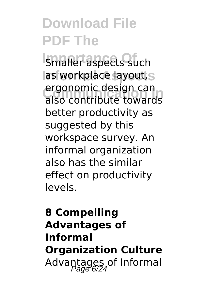**Smaller aspects such** las workplace layout, s ergonomic design can<br>also contribute towards ergonomic design can better productivity as suggested by this workspace survey. An informal organization also has the similar effect on productivity levels.

### **8 Compelling Advantages of Informal Organization Culture** Advantages of Informal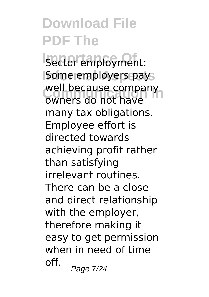**Isector employment:** Some employers pays well because company<br>owners do not have well because company many tax obligations. Employee effort is directed towards achieving profit rather than satisfying irrelevant routines. There can be a close and direct relationship with the employer, therefore making it easy to get permission when in need of time off.  $P$ age 7/24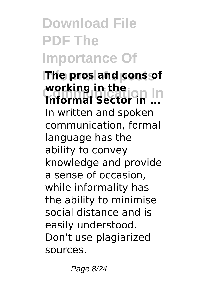## **Download File PDF The Importance Of**

**IThe pros and cons of Consumed In the Line In the Indian In working in the** In written and spoken communication, formal language has the ability to convey knowledge and provide a sense of occasion, while informality has the ability to minimise social distance and is easily understood. Don't use plagiarized sources.

Page 8/24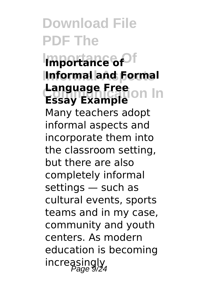**Importance Of Importance of Informal Aspects Informal and Formal Language Free**<br>**Ecsay Example** on In **Essay Example** Many teachers adopt informal aspects and incorporate them into the classroom setting, but there are also completely informal settings — such as cultural events, sports teams and in my case, community and youth centers. As modern education is becoming increasingly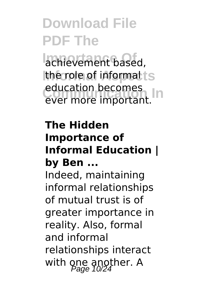achievement based, **Ithe role of informal ts** education becomes<br>ever more important. education becomes

#### **The Hidden Importance of Informal Education | by Ben ...**

Indeed, maintaining informal relationships of mutual trust is of greater importance in reality. Also, formal and informal relationships interact with one another. A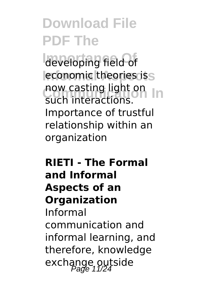developing field of leconomic theories iss **now casting light on** such interactions. Importance of trustful relationship within an organization

### **RIETI - The Formal and Informal Aspects of an Organization**

Informal communication and informal learning, and therefore, knowledge exchange outside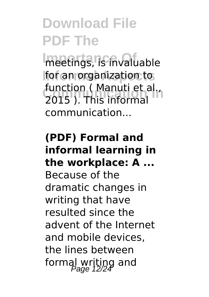**Importance Of** meetings, is invaluable **for an organization to** Function ( Manuti et al.,<br>**2015 ). This informal** function ( Manuti et al., communication...

#### **(PDF) Formal and informal learning in the workplace: A ...**

Because of the dramatic changes in writing that have resulted since the advent of the Internet and mobile devices, the lines between formal writing and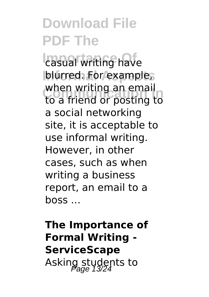**Lasual writing have** blurred. For example, when writing an email<br>to a friend or posting to when writing an email a social networking site, it is acceptable to use informal writing. However, in other cases, such as when writing a business report, an email to a boss ...

**The Importance of Formal Writing - ServiceScape** Asking students to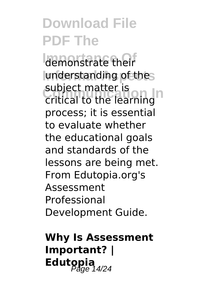demonstrate their understanding of thes subject matter is<br>critical to the learning subject matter is process; it is essential to evaluate whether the educational goals and standards of the lessons are being met. From Edutopia.org's Assessment Professional Development Guide.

### **Why Is Assessment Important? |** Edutopia<br><sup>Page 14/24</sup>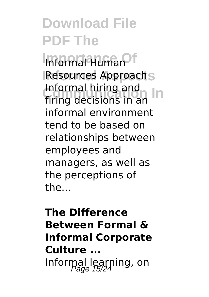**Informal Human** Resources Approachs **Communication In** firing decisions in an Informal hiring and informal environment tend to be based on relationships between employees and managers, as well as the perceptions of the...

### **The Difference Between Formal & Informal Corporate Culture ...** Informal learning, on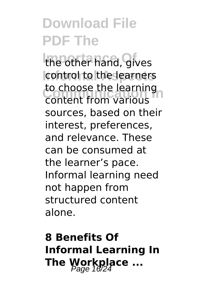the other hand, gives control to the learners to choose the learning<br>Content from Various content from various sources, based on their interest, preferences, and relevance. These can be consumed at the learner's pace. Informal learning need not happen from structured content alone.

**8 Benefits Of Informal Learning In The Workplace ...**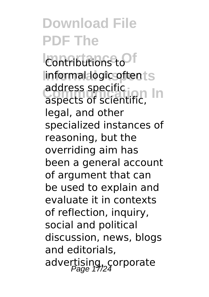**Contributions to**  $linformal$ *logic* oftents address specific<br>aspects of scientific, address specific legal, and other specialized instances of reasoning, but the overriding aim has been a general account of argument that can be used to explain and evaluate it in contexts of reflection, inquiry, social and political discussion, news, blogs and editorials, advertising, corporate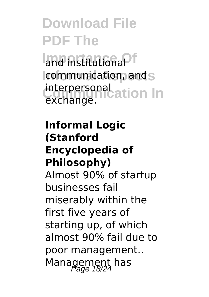**ImpnistitutionaPf communication, and s** interpersonal<br>exchange **interpretation** In exchange.

#### **Informal Logic (Stanford Encyclopedia of Philosophy)**

Almost 90% of startup businesses fail miserably within the first five years of starting up, of which almost 90% fail due to poor management.. Management has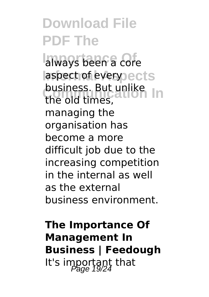**Inlines been a core** laspect of every ects **business. But unlike** the old times, managing the organisation has become a more difficult job due to the increasing competition in the internal as well as the external business environment.

**The Importance Of Management In Business | Feedough** It's important that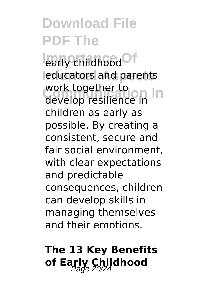learly childhood<sup>Of</sup> **Informal Aspects** educators and parents work together to<br>develop resilience in work together to children as early as possible. By creating a consistent, secure and fair social environment, with clear expectations and predictable consequences, children can develop skills in managing themselves and their emotions.

### **The 13 Key Benefits of Early Childhood**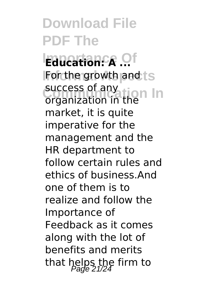**Education: A ...** of **For the growth and ts** success of any<br>organization in the success of any market, it is quite imperative for the management and the HR department to follow certain rules and ethics of business.And one of them is to realize and follow the Importance of Feedback as it comes along with the lot of benefits and merits that helps the firm to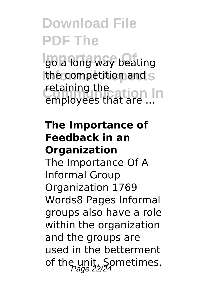**Igo a long way beating Ithe competition and S** retaining the<br>employees that are In employees that are ...

### **The Importance of Feedback in an Organization**

The Importance Of A Informal Group Organization 1769 Words8 Pages Informal groups also have a role within the organization and the groups are used in the betterment of the unit. Sometimes,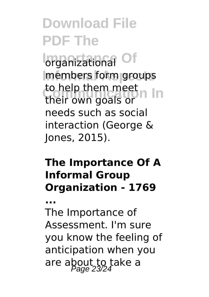**I**organizational Of **Informal Aspects** members form groups to help them meet<br>their own goals or to help them meet needs such as social interaction (George & Jones, 2015).

### **The Importance Of A Informal Group Organization - 1769**

**...**

The Importance of Assessment. I'm sure you know the feeling of anticipation when you are about to take a